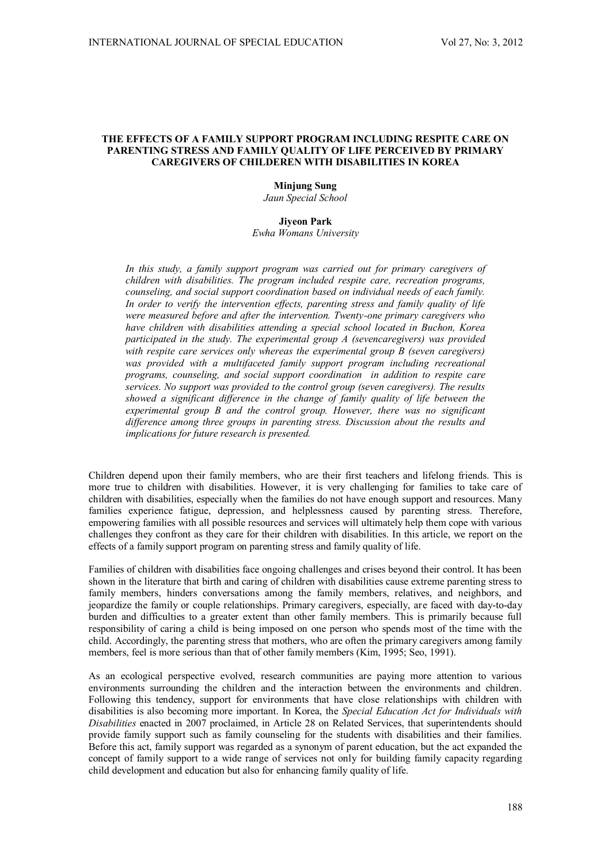## **THE EFFECTS OF A FAMILY SUPPORT PROGRAM INCLUDING RESPITE CARE ON PARENTING STRESS AND FAMILY QUALITY OF LIFE PERCEIVED BY PRIMARY CAREGIVERS OF CHILDEREN WITH DISABILITIES IN KOREA**

# **Minjung Sung**

*Jaun Special School* 

#### **Jiyeon Park**

*Ewha Womans University* 

*In this study, a family support program was carried out for primary caregivers of children with disabilities. The program included respite care, recreation programs, counseling, and social support coordination based on individual needs of each family. In order to verify the intervention effects, parenting stress and family quality of life were measured before and after the intervention. Twenty-one primary caregivers who have children with disabilities attending a special school located in Buchon, Korea participated in the study. The experimental group A (sevencaregivers) was provided with respite care services only whereas the experimental group B (seven caregivers)*  was provided with a multifaceted family support program including recreational *programs, counseling, and social support coordination in addition to respite care services. No support was provided to the control group (seven caregivers). The results showed a significant difference in the change of family quality of life between the experimental group B and the control group. However, there was no significant difference among three groups in parenting stress. Discussion about the results and implications for future research is presented.* 

Children depend upon their family members, who are their first teachers and lifelong friends. This is more true to children with disabilities. However, it is very challenging for families to take care of children with disabilities, especially when the families do not have enough support and resources. Many families experience fatigue, depression, and helplessness caused by parenting stress. Therefore, empowering families with all possible resources and services will ultimately help them cope with various challenges they confront as they care for their children with disabilities. In this article, we report on the effects of a family support program on parenting stress and family quality of life.

Families of children with disabilities face ongoing challenges and crises beyond their control. It has been shown in the literature that birth and caring of children with disabilities cause extreme parenting stress to family members, hinders conversations among the family members, relatives, and neighbors, and jeopardize the family or couple relationships. Primary caregivers, especially, are faced with day-to-day burden and difficulties to a greater extent than other family members. This is primarily because full responsibility of caring a child is being imposed on one person who spends most of the time with the child. Accordingly, the parenting stress that mothers, who are often the primary caregivers among family members, feel is more serious than that of other family members (Kim, 1995; Seo, 1991).

As an ecological perspective evolved, research communities are paying more attention to various environments surrounding the children and the interaction between the environments and children. Following this tendency, support for environments that have close relationships with children with disabilities is also becoming more important. In Korea, the *Special Education Act for Individuals with Disabilities* enacted in 2007 proclaimed, in Article 28 on Related Services, that superintendents should provide family support such as family counseling for the students with disabilities and their families. Before this act, family support was regarded as a synonym of parent education, but the act expanded the concept of family support to a wide range of services not only for building family capacity regarding child development and education but also for enhancing family quality of life.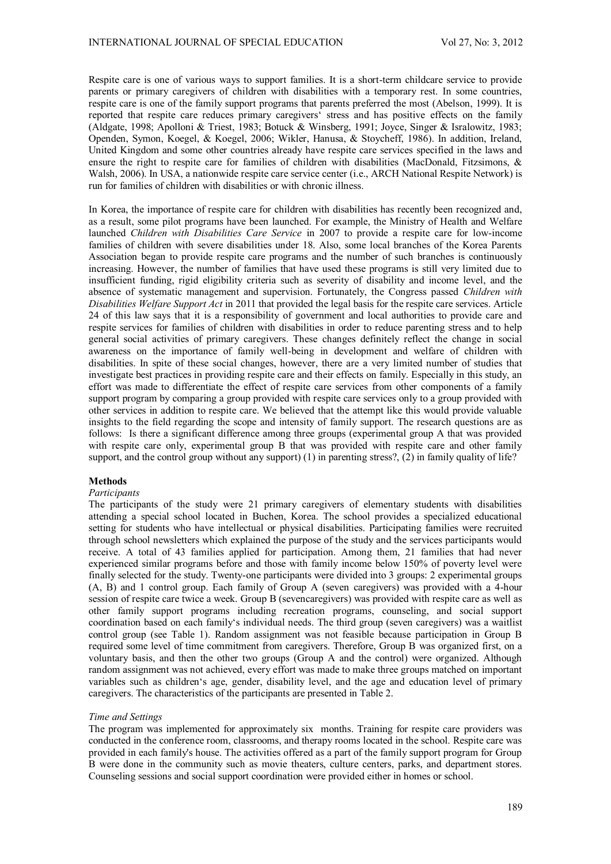Respite care is one of various ways to support families. It is a short-term childcare service to provide parents or primary caregivers of children with disabilities with a temporary rest. In some countries, respite care is one of the family support programs that parents preferred the most (Abelson, 1999). It is reported that respite care reduces primary caregivers' stress and has positive effects on the family (Aldgate, 1998; Apolloni & Triest, 1983; Botuck & Winsberg, 1991; Joyce, Singer & Isralowitz, 1983; Openden, Symon, Koegel, & Koegel, 2006; Wikler, Hanusa, & Stoycheff, 1986). In addition, Ireland, United Kingdom and some other countries already have respite care services specified in the laws and ensure the right to respite care for families of children with disabilities (MacDonald, Fitzsimons, & Walsh, 2006). In USA, a nationwide respite care service center (i.e., ARCH National Respite Network) is run for families of children with disabilities or with chronic illness.

In Korea, the importance of respite care for children with disabilities has recently been recognized and, as a result, some pilot programs have been launched. For example, the Ministry of Health and Welfare launched *Children with Disabilities Care Service* in 2007 to provide a respite care for low-income families of children with severe disabilities under 18. Also, some local branches of the Korea Parents Association began to provide respite care programs and the number of such branches is continuously increasing. However, the number of families that have used these programs is still very limited due to insufficient funding, rigid eligibility criteria such as severity of disability and income level, and the absence of systematic management and supervision. Fortunately, the Congress passed *Children with Disabilities Welfare Support Act* in 2011 that provided the legal basis for the respite care services. Article 24 of this law says that it is a responsibility of government and local authorities to provide care and respite services for families of children with disabilities in order to reduce parenting stress and to help general social activities of primary caregivers. These changes definitely reflect the change in social awareness on the importance of family well-being in development and welfare of children with disabilities. In spite of these social changes, however, there are a very limited number of studies that investigate best practices in providing respite care and their effects on family. Especially in this study, an effort was made to differentiate the effect of respite care services from other components of a family support program by comparing a group provided with respite care services only to a group provided with other services in addition to respite care. We believed that the attempt like this would provide valuable insights to the field regarding the scope and intensity of family support. The research questions are as follows: Is there a significant difference among three groups (experimental group A that was provided with respite care only, experimental group B that was provided with respite care and other family support, and the control group without any support) (1) in parenting stress?, (2) in family quality of life?

## **Methods**

## *Participants*

The participants of the study were 21 primary caregivers of elementary students with disabilities attending a special school located in Buchen, Korea. The school provides a specialized educational setting for students who have intellectual or physical disabilities. Participating families were recruited through school newsletters which explained the purpose of the study and the services participants would receive. A total of 43 families applied for participation. Among them, 21 families that had never experienced similar programs before and those with family income below 150% of poverty level were finally selected for the study. Twenty-one participants were divided into 3 groups: 2 experimental groups (A, B) and 1 control group. Each family of Group A (seven caregivers) was provided with a 4-hour session of respite care twice a week. Group B (sevencaregivers) was provided with respite care as well as other family support programs including recreation programs, counseling, and social support coordination based on each family's individual needs. The third group (seven caregivers) was a waitlist control group (see Table 1). Random assignment was not feasible because participation in Group B required some level of time commitment from caregivers. Therefore, Group B was organized first, on a voluntary basis, and then the other two groups (Group A and the control) were organized. Although random assignment was not achieved, every effort was made to make three groups matched on important variables such as children's age, gender, disability level, and the age and education level of primary caregivers. The characteristics of the participants are presented in Table 2.

#### *Time and Settings*

The program was implemented for approximately six months. Training for respite care providers was conducted in the conference room, classrooms, and therapy rooms located in the school. Respite care was provided in each family's house. The activities offered as a part of the family support program for Group B were done in the community such as movie theaters, culture centers, parks, and department stores. Counseling sessions and social support coordination were provided either in homes or school.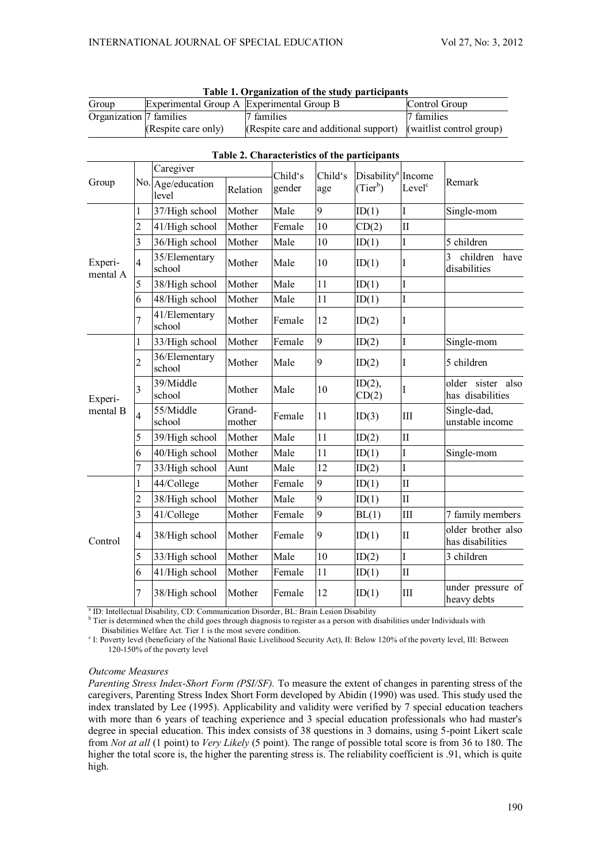| Group                   | Experimental Group A Experimental Group B |                                                                | Control Group |  |  |  |  |
|-------------------------|-------------------------------------------|----------------------------------------------------------------|---------------|--|--|--|--|
| Organization 7 families |                                           | 7 families                                                     | 7 families    |  |  |  |  |
|                         | (Respite care only)                       | (Respite care and additional support) (waitlist control group) |               |  |  |  |  |

**Table 1. Organization of the study participants** 

| Table 2. Characteristics of the participants |  |
|----------------------------------------------|--|

|                              |                         | Caregiver                  |                  | Child's | Child's | Disability <sup>a</sup> | Income              |                                        |  |
|------------------------------|-------------------------|----------------------------|------------------|---------|---------|-------------------------|---------------------|----------------------------------------|--|
| Group<br>Experi-<br>mental A |                         | No. Age/education<br>level | Relation         | gender  | age     | $(Tier^b)$              | Level <sup>c</sup>  | Remark                                 |  |
|                              | 1                       | 37/High school             | Mother           | Male    | 9       | ID(1)                   | I                   | Single-mom                             |  |
|                              | $\overline{c}$          | 41/High school             | Mother           | Female  | 10      | CD(2)                   | $\overline{\rm II}$ |                                        |  |
|                              | 3                       | 36/High school             | Mother           | Male    | 10      | ID(1)                   | I                   | 5 children                             |  |
|                              | $\overline{4}$          | 35/Elementary<br>school    | Mother           | Male    | 10      | ID(1)                   | I                   | 3<br>children<br>have<br>disabilities  |  |
|                              | 5                       | 38/High school             | Mother           | Male    | 11      | ID(1)                   | I                   |                                        |  |
|                              | 6                       | 48/High school             | Mother           | Male    | 11      | ID(1)                   | I                   |                                        |  |
|                              | 7                       | 41/Elementary<br>school    | Mother           | Female  | 12      | ID(2)                   | I                   |                                        |  |
|                              | 1                       | 33/High school             | Mother           | Female  | 9       | ID(2)                   | I                   | Single-mom                             |  |
|                              | $\overline{c}$          | 36/Elementary<br>school    | Mother           | Male    | 9       | ID(2)                   | I                   | 5 children                             |  |
| Experi-                      | 3                       | 39/Middle<br>school        | Mother           | Male    | 10      | $ID(2)$ ,<br>CD(2)      | I                   | older sister also<br>has disabilities  |  |
| mental B                     | $\overline{4}$          | 55/Middle<br>school        | Grand-<br>mother | Female  | 11      | ID(3)                   | III                 | Single-dad,<br>unstable income         |  |
|                              | 5                       | 39/High school             | Mother           | Male    | 11      | ID(2)                   | $\overline{\rm II}$ |                                        |  |
|                              | 6                       | 40/High school             | Mother           | Male    | 11      | ID(1)                   | I                   | Single-mom                             |  |
|                              | 7                       | 33/High school             | Aunt             | Male    | 12      | ID(2)                   | I                   |                                        |  |
|                              | 1                       | 44/College                 | Mother           | Female  | 9       | ID(1)                   | $\mathbf{I}$        |                                        |  |
|                              | $\overline{2}$          | 38/High school             | Mother           | Male    | 9       | ID(1)                   | $\overline{\rm II}$ |                                        |  |
| Control                      | 3                       | 41/College                 | Mother           | Female  | 9       | BL(1)                   | $III$               | 7 family members                       |  |
|                              | $\overline{\mathbf{4}}$ | 38/High school             | Mother           | Female  | 9       | ID(1)                   | $\mathbf{I}$        | older brother also<br>has disabilities |  |
|                              | 5                       | 33/High school             | Mother           | Male    | 10      | ID(2)                   | I                   | 3 children                             |  |
|                              | 6                       | 41/High school             | Mother           | Female  | 11      | ID(1)                   | $\overline{\rm II}$ |                                        |  |
|                              | 7                       | 38/High school             | Mother           | Female  | 12      | ID(1)                   | III                 | under pressure of<br>heavy debts       |  |

<sup>a</sup> ID: Intellectual Disability, CD: Communication Disorder, BL: Brain Lesion Disability

<sup>b</sup> Tier is determined when the child goes through diagnosis to register as a person with disabilities under Individuals with Disabilities Welfare Act. Tier 1 is the most severe condition.

<sup>c</sup> I: Poverty level (beneficiary of the National Basic Livelihood Security Act), II: Below 120% of the poverty level, III: Between 120-150% of the poverty level

## *Outcome Measures*

*Parenting Stress Index-Short Form (PSI/SF).* To measure the extent of changes in parenting stress of the caregivers, Parenting Stress Index Short Form developed by Abidin (1990) was used. This study used the index translated by Lee (1995). Applicability and validity were verified by 7 special education teachers with more than 6 years of teaching experience and 3 special education professionals who had master's degree in special education. This index consists of 38 questions in 3 domains, using 5-point Likert scale from *Not at all* (1 point) to *Very Likely* (5 point). The range of possible total score is from 36 to 180. The higher the total score is, the higher the parenting stress is. The reliability coefficient is .91, which is quite high.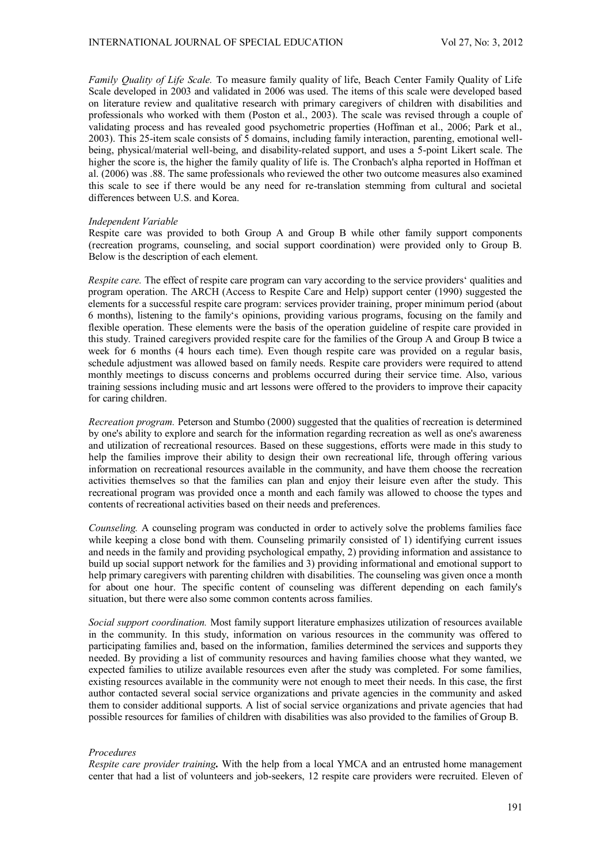*Family Quality of Life Scale.* To measure family quality of life, Beach Center Family Quality of Life Scale developed in 2003 and validated in 2006 was used. The items of this scale were developed based on literature review and qualitative research with primary caregivers of children with disabilities and professionals who worked with them (Poston et al., 2003). The scale was revised through a couple of validating process and has revealed good psychometric properties (Hoffman et al., 2006; Park et al., 2003). This 25-item scale consists of 5 domains, including family interaction, parenting, emotional wellbeing, physical/material well-being, and disability-related support, and uses a 5-point Likert scale. The higher the score is, the higher the family quality of life is. The Cronbach's alpha reported in Hoffman et al. (2006) was .88. The same professionals who reviewed the other two outcome measures also examined this scale to see if there would be any need for re-translation stemming from cultural and societal differences between U.S. and Korea.

#### *Independent Variable*

Respite care was provided to both Group A and Group B while other family support components (recreation programs, counseling, and social support coordination) were provided only to Group B. Below is the description of each element.

*Respite care.* The effect of respite care program can vary according to the service providers' qualities and program operation. The ARCH (Access to Respite Care and Help) support center (1990) suggested the elements for a successful respite care program: services provider training, proper minimum period (about 6 months), listening to the family's opinions, providing various programs, focusing on the family and flexible operation. These elements were the basis of the operation guideline of respite care provided in this study. Trained caregivers provided respite care for the families of the Group A and Group B twice a week for 6 months (4 hours each time). Even though respite care was provided on a regular basis, schedule adjustment was allowed based on family needs. Respite care providers were required to attend monthly meetings to discuss concerns and problems occurred during their service time. Also, various training sessions including music and art lessons were offered to the providers to improve their capacity for caring children.

*Recreation program.* Peterson and Stumbo (2000) suggested that the qualities of recreation is determined by one's ability to explore and search for the information regarding recreation as well as one's awareness and utilization of recreational resources. Based on these suggestions, efforts were made in this study to help the families improve their ability to design their own recreational life, through offering various information on recreational resources available in the community, and have them choose the recreation activities themselves so that the families can plan and enjoy their leisure even after the study. This recreational program was provided once a month and each family was allowed to choose the types and contents of recreational activities based on their needs and preferences.

*Counseling.* A counseling program was conducted in order to actively solve the problems families face while keeping a close bond with them. Counseling primarily consisted of 1) identifying current issues and needs in the family and providing psychological empathy, 2) providing information and assistance to build up social support network for the families and 3) providing informational and emotional support to help primary caregivers with parenting children with disabilities. The counseling was given once a month for about one hour. The specific content of counseling was different depending on each family's situation, but there were also some common contents across families.

*Social support coordination.* Most family support literature emphasizes utilization of resources available in the community. In this study, information on various resources in the community was offered to participating families and, based on the information, families determined the services and supports they needed. By providing a list of community resources and having families choose what they wanted, we expected families to utilize available resources even after the study was completed. For some families, existing resources available in the community were not enough to meet their needs. In this case, the first author contacted several social service organizations and private agencies in the community and asked them to consider additional supports. A list of social service organizations and private agencies that had possible resources for families of children with disabilities was also provided to the families of Group B.

#### *Procedures*

*Respite care provider training.* With the help from a local YMCA and an entrusted home management center that had a list of volunteers and job-seekers, 12 respite care providers were recruited. Eleven of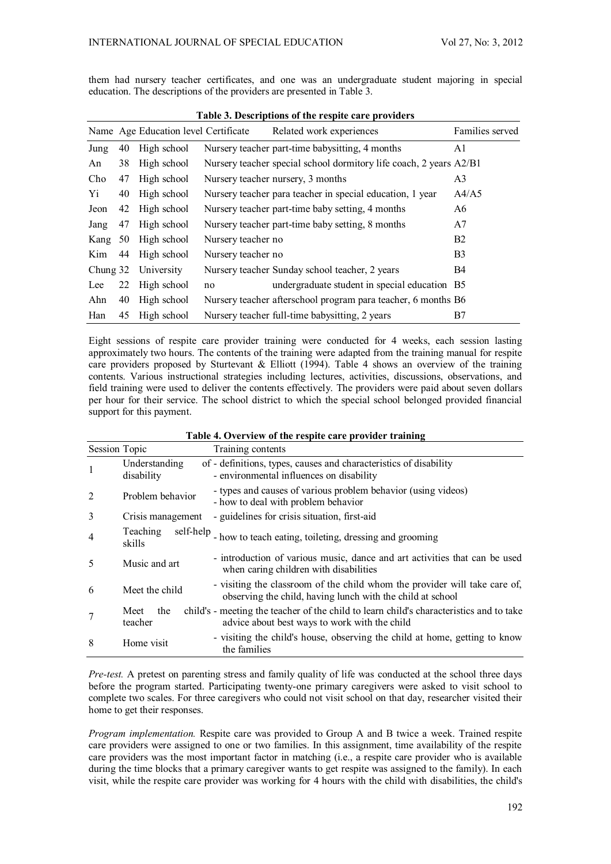them had nursery teacher certificates, and one was an undergraduate student majoring in special education. The descriptions of the providers are presented in Table 3.

| Table 3. Descriptions of the respite care providers |    |                                      |                    |                                                                    |                 |  |  |  |
|-----------------------------------------------------|----|--------------------------------------|--------------------|--------------------------------------------------------------------|-----------------|--|--|--|
|                                                     |    | Name Age Education level Certificate |                    | Related work experiences                                           | Families served |  |  |  |
| Jung                                                | 40 | High school                          |                    | Nursery teacher part-time babysitting, 4 months                    | A1              |  |  |  |
| An                                                  | 38 | High school                          |                    | Nursery teacher special school dormitory life coach, 2 years A2/B1 |                 |  |  |  |
| Cho                                                 | 47 | High school                          |                    | Nursery teacher nursery, 3 months                                  | A <sub>3</sub>  |  |  |  |
| Yi                                                  | 40 | High school                          |                    | Nursery teacher para teacher in special education, 1 year          | A4/A5           |  |  |  |
| Jeon                                                | 42 | High school                          |                    | Nursery teacher part-time baby setting, 4 months                   | A6              |  |  |  |
| Jang                                                | 47 | High school                          |                    | Nursery teacher part-time baby setting, 8 months                   | A7              |  |  |  |
| Kang                                                | 50 | High school                          | Nursery teacher no |                                                                    | B2              |  |  |  |
| Kim                                                 | 44 | High school                          | Nursery teacher no |                                                                    | B <sub>3</sub>  |  |  |  |
| Chung 32                                            |    | University                           |                    | Nursery teacher Sunday school teacher, 2 years                     | B4              |  |  |  |
| Lee                                                 | 22 | High school                          | no                 | undergraduate student in special education B5                      |                 |  |  |  |
| Ahn                                                 | 40 | High school                          |                    | Nursery teacher afterschool program para teacher, 6 months B6      |                 |  |  |  |
| Han                                                 | 45 | High school                          |                    | Nursery teacher full-time babysitting, 2 years                     | B7              |  |  |  |

Eight sessions of respite care provider training were conducted for 4 weeks, each session lasting approximately two hours. The contents of the training were adapted from the training manual for respite care providers proposed by Sturtevant & Elliott (1994). Table 4 shows an overview of the training contents. Various instructional strategies including lectures, activities, discussions, observations, and field training were used to deliver the contents effectively. The providers were paid about seven dollars per hour for their service. The school district to which the special school belonged provided financial support for this payment.

| Session Topic  |                                 | Training contents                                                                                                                        |
|----------------|---------------------------------|------------------------------------------------------------------------------------------------------------------------------------------|
| -1             | Understanding<br>disability     | of - definitions, types, causes and characteristics of disability<br>- environmental influences on disability                            |
| 2              | Problem behavior                | - types and causes of various problem behavior (using videos)<br>- how to deal with problem behavior                                     |
| 3              | Crisis management               | - guidelines for crisis situation, first-aid                                                                                             |
| $\overline{4}$ | self-help<br>Teaching<br>skills | - how to teach eating, toileting, dressing and grooming                                                                                  |
| 5              | Music and art                   | - introduction of various music, dance and art activities that can be used<br>when caring children with disabilities                     |
| 6              | Meet the child                  | - visiting the classroom of the child whom the provider will take care of,<br>observing the child, having lunch with the child at school |
| 7              | the<br>Meet<br>teacher          | child's - meeting the teacher of the child to learn child's characteristics and to take<br>advice about best ways to work with the child |
| 8              | Home visit                      | - visiting the child's house, observing the child at home, getting to know<br>the families                                               |

**Table 4. Overview of the respite care provider training** 

*Pre-test.* A pretest on parenting stress and family quality of life was conducted at the school three days before the program started. Participating twenty-one primary caregivers were asked to visit school to complete two scales. For three caregivers who could not visit school on that day, researcher visited their home to get their responses.

*Program implementation.* Respite care was provided to Group A and B twice a week. Trained respite care providers were assigned to one or two families. In this assignment, time availability of the respite care providers was the most important factor in matching (i.e., a respite care provider who is available during the time blocks that a primary caregiver wants to get respite was assigned to the family). In each visit, while the respite care provider was working for 4 hours with the child with disabilities, the child's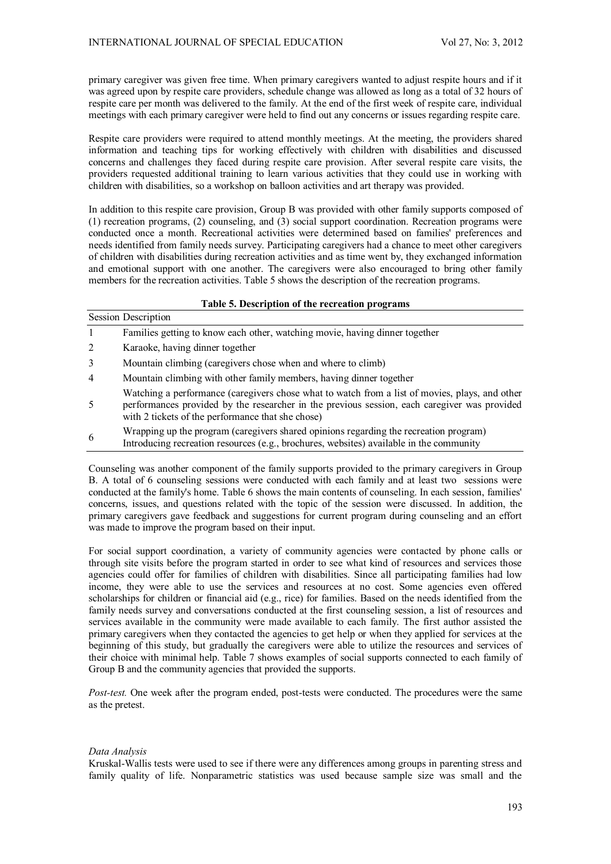primary caregiver was given free time. When primary caregivers wanted to adjust respite hours and if it was agreed upon by respite care providers, schedule change was allowed as long as a total of 32 hours of respite care per month was delivered to the family. At the end of the first week of respite care, individual meetings with each primary caregiver were held to find out any concerns or issues regarding respite care.

Respite care providers were required to attend monthly meetings. At the meeting, the providers shared information and teaching tips for working effectively with children with disabilities and discussed concerns and challenges they faced during respite care provision. After several respite care visits, the providers requested additional training to learn various activities that they could use in working with children with disabilities, so a workshop on balloon activities and art therapy was provided.

In addition to this respite care provision, Group B was provided with other family supports composed of (1) recreation programs, (2) counseling, and (3) social support coordination. Recreation programs were conducted once a month. Recreational activities were determined based on families' preferences and needs identified from family needs survey. Participating caregivers had a chance to meet other caregivers of children with disabilities during recreation activities and as time went by, they exchanged information and emotional support with one another. The caregivers were also encouraged to bring other family members for the recreation activities. Table 5 shows the description of the recreation programs.

|                | Table 5. Description of the recreation programs                                                                                                                                                                                                     |  |  |  |  |  |  |
|----------------|-----------------------------------------------------------------------------------------------------------------------------------------------------------------------------------------------------------------------------------------------------|--|--|--|--|--|--|
|                | Session Description                                                                                                                                                                                                                                 |  |  |  |  |  |  |
| $\mathbf{1}$   | Families getting to know each other, watching movie, having dinner together                                                                                                                                                                         |  |  |  |  |  |  |
| 2              | Karaoke, having dinner together                                                                                                                                                                                                                     |  |  |  |  |  |  |
| 3              | Mountain climbing (caregivers chose when and where to climb)                                                                                                                                                                                        |  |  |  |  |  |  |
| $\overline{4}$ | Mountain climbing with other family members, having dinner together                                                                                                                                                                                 |  |  |  |  |  |  |
| -5             | Watching a performance (caregivers chose what to watch from a list of movies, plays, and other<br>performances provided by the researcher in the previous session, each caregiver was provided<br>with 2 tickets of the performance that she chose) |  |  |  |  |  |  |
| 6              | Wrapping up the program (caregivers shared opinions regarding the recreation program)<br>Introducing recreation resources (e.g., brochures, websites) available in the community                                                                    |  |  |  |  |  |  |

Counseling was another component of the family supports provided to the primary caregivers in Group B. A total of 6 counseling sessions were conducted with each family and at least two sessions were conducted at the family's home. Table 6 shows the main contents of counseling. In each session, families' concerns, issues, and questions related with the topic of the session were discussed. In addition, the primary caregivers gave feedback and suggestions for current program during counseling and an effort was made to improve the program based on their input.

For social support coordination, a variety of community agencies were contacted by phone calls or through site visits before the program started in order to see what kind of resources and services those agencies could offer for families of children with disabilities. Since all participating families had low income, they were able to use the services and resources at no cost. Some agencies even offered scholarships for children or financial aid (e.g., rice) for families. Based on the needs identified from the family needs survey and conversations conducted at the first counseling session, a list of resources and services available in the community were made available to each family. The first author assisted the primary caregivers when they contacted the agencies to get help or when they applied for services at the beginning of this study, but gradually the caregivers were able to utilize the resources and services of their choice with minimal help. Table 7 shows examples of social supports connected to each family of Group B and the community agencies that provided the supports.

*Post-test.* One week after the program ended, post-tests were conducted. The procedures were the same as the pretest.

## *Data Analysis*

Kruskal-Wallis tests were used to see if there were any differences among groups in parenting stress and family quality of life. Nonparametric statistics was used because sample size was small and the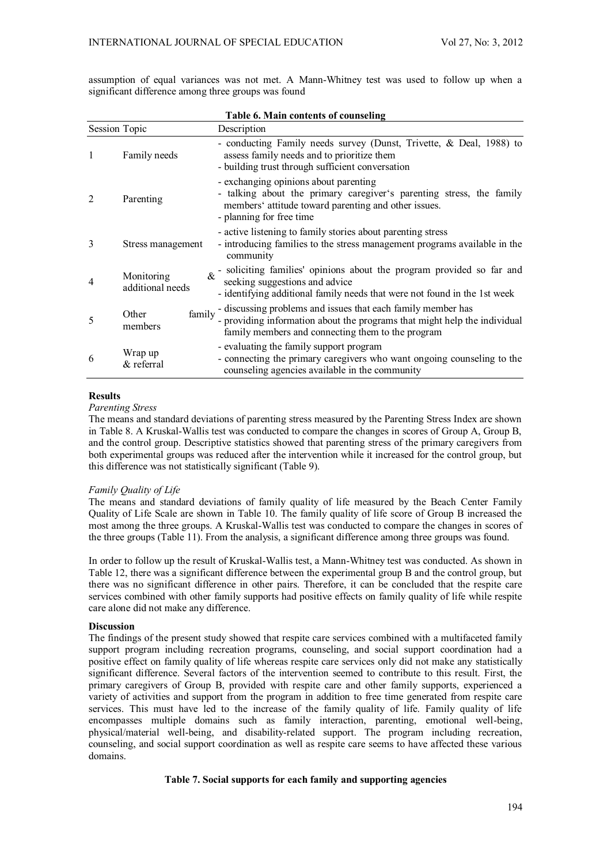assumption of equal variances was not met. A Mann-Whitney test was used to follow up when a significant difference among three groups was found

|                      |                                | Table 6. Main contents of counseling                                                                                                                                                              |
|----------------------|--------------------------------|---------------------------------------------------------------------------------------------------------------------------------------------------------------------------------------------------|
| <b>Session Topic</b> |                                | Description                                                                                                                                                                                       |
|                      | Family needs                   | - conducting Family needs survey (Dunst, Trivette, & Deal, 1988) to<br>assess family needs and to prioritize them<br>- building trust through sufficient conversation                             |
| 2                    | Parenting                      | - exchanging opinions about parenting<br>- talking about the primary caregiver's parenting stress, the family<br>members' attitude toward parenting and other issues.<br>- planning for free time |
| 3                    | Stress management              | - active listening to family stories about parenting stress<br>- introducing families to the stress management programs available in the<br>community                                             |
| $\overline{4}$       | Monitoring<br>additional needs | $\&$ - soliciting families' opinions about the program provided so far and<br>seeking suggestions and advice<br>- identifying additional family needs that were not found in the 1st week         |
| 5                    | family<br>Other<br>members     | - discussing problems and issues that each family member has<br>- providing information about the programs that might help the individual<br>family members and connecting them to the program    |
| 6                    | Wrap up<br>& referral          | - evaluating the family support program<br>- connecting the primary caregivers who want ongoing counseling to the<br>counseling agencies available in the community                               |

#### **Results**

*Parenting Stress* 

The means and standard deviations of parenting stress measured by the Parenting Stress Index are shown in Table 8. A Kruskal-Wallis test was conducted to compare the changes in scores of Group A, Group B, and the control group. Descriptive statistics showed that parenting stress of the primary caregivers from both experimental groups was reduced after the intervention while it increased for the control group, but this difference was not statistically significant (Table 9).

## *Family Quality of Life*

The means and standard deviations of family quality of life measured by the Beach Center Family Quality of Life Scale are shown in Table 10. The family quality of life score of Group B increased the most among the three groups. A Kruskal-Wallis test was conducted to compare the changes in scores of the three groups (Table 11). From the analysis, a significant difference among three groups was found.

In order to follow up the result of Kruskal-Wallis test, a Mann-Whitney test was conducted. As shown in Table 12, there was a significant difference between the experimental group B and the control group, but there was no significant difference in other pairs. Therefore, it can be concluded that the respite care services combined with other family supports had positive effects on family quality of life while respite care alone did not make any difference.

## **Discussion**

The findings of the present study showed that respite care services combined with a multifaceted family support program including recreation programs, counseling, and social support coordination had a positive effect on family quality of life whereas respite care services only did not make any statistically significant difference. Several factors of the intervention seemed to contribute to this result. First, the primary caregivers of Group B, provided with respite care and other family supports, experienced a variety of activities and support from the program in addition to free time generated from respite care services. This must have led to the increase of the family quality of life. Family quality of life encompasses multiple domains such as family interaction, parenting, emotional well-being, physical/material well-being, and disability-related support. The program including recreation, counseling, and social support coordination as well as respite care seems to have affected these various domains.

## **Table 7. Social supports for each family and supporting agencies**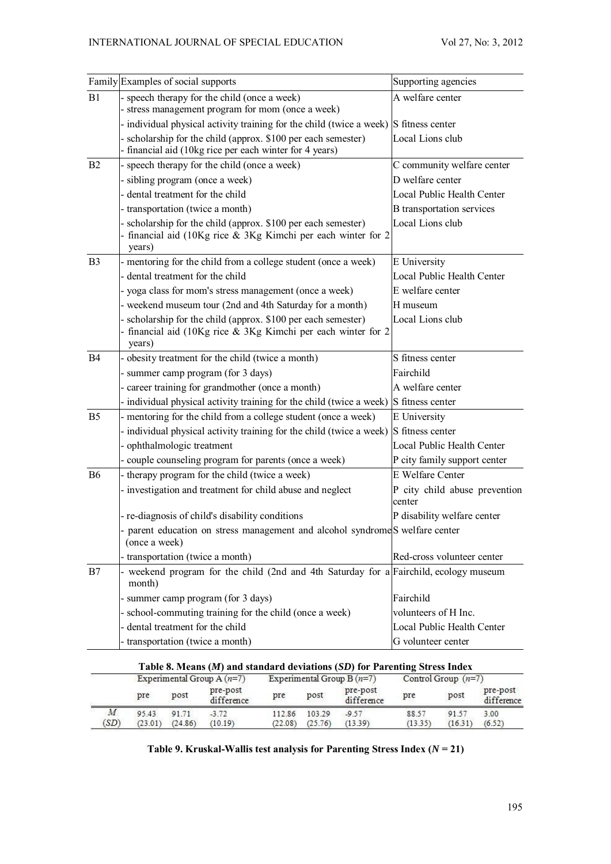|                | Family Examples of social supports                                                                                                          | Supporting agencies                     |
|----------------|---------------------------------------------------------------------------------------------------------------------------------------------|-----------------------------------------|
| B1             | - speech therapy for the child (once a week)<br>- stress management program for mom (once a week)                                           | A welfare center                        |
|                | - individual physical activity training for the child (twice a week) $\left S\right $ fitness center                                        |                                         |
|                | - scholarship for the child (approx. \$100 per each semester)<br>- financial aid (10kg rice per each winter for 4 years)                    | Local Lions club                        |
| B2             | - speech therapy for the child (once a week)                                                                                                | C community welfare center              |
|                | - sibling program (once a week)                                                                                                             | D welfare center                        |
|                | - dental treatment for the child                                                                                                            | Local Public Health Center              |
|                | - transportation (twice a month)                                                                                                            | <b>B</b> transportation services        |
|                | - scholarship for the child (approx. \$100 per each semester)<br>- financial aid (10Kg rice & 3Kg Kimchi per each winter for 2<br>years)    | Local Lions club                        |
| B <sub>3</sub> | - mentoring for the child from a college student (once a week)                                                                              | E University                            |
|                | - dental treatment for the child                                                                                                            | Local Public Health Center              |
|                | - yoga class for mom's stress management (once a week)                                                                                      | E welfare center                        |
|                | - weekend museum tour (2nd and 4th Saturday for a month)                                                                                    | H museum                                |
|                | - scholarship for the child (approx. \$100 per each semester)<br>- financial aid (10Kg rice $\&$ 3Kg Kimchi per each winter for 2<br>years) | Local Lions club                        |
| <b>B4</b>      | - obesity treatment for the child (twice a month)                                                                                           | S fitness center                        |
|                | - summer camp program (for 3 days)                                                                                                          | Fairchild                               |
|                | - career training for grandmother (once a month)                                                                                            | A welfare center                        |
|                | - individual physical activity training for the child (twice a week)                                                                        | S fitness center                        |
| B <sub>5</sub> | - mentoring for the child from a college student (once a week)                                                                              | E University                            |
|                | - individual physical activity training for the child (twice a week)                                                                        | S fitness center                        |
|                | - ophthalmologic treatment                                                                                                                  | Local Public Health Center              |
|                | - couple counseling program for parents (once a week)                                                                                       | P city family support center            |
| B <sub>6</sub> | - therapy program for the child (twice a week)                                                                                              | E Welfare Center                        |
|                | - investigation and treatment for child abuse and neglect                                                                                   | P city child abuse prevention<br>center |
|                | - re-diagnosis of child's disability conditions                                                                                             | P disability welfare center             |
|                | - parent education on stress management and alcohol syndrome S welfare center<br>(once a week)                                              |                                         |
|                | - transportation (twice a month)                                                                                                            | Red-cross volunteer center              |
| B7             | - weekend program for the child (2nd and 4th Saturday for a Fairchild, ecology museum<br>month)                                             |                                         |
|                | - summer camp program (for 3 days)                                                                                                          | Fairchild                               |
|                | - school-commuting training for the child (once a week)                                                                                     | volunteers of H Inc.                    |
|                | - dental treatment for the child                                                                                                            | Local Public Health Center              |
|                | - transportation (twice a month)                                                                                                            | G volunteer center                      |
|                | Table 8. Means (M) and standard deviations (SD) for Parenting Stress Index                                                                  |                                         |
|                |                                                                                                                                             |                                         |

|                          | Experimental Group A $(n=7)$ |                  |                        | Table 8. Means $(M)$ and standard deviations $(SD)$ for Parenting Stress Index<br>Experimental Group B $(n=7)$ |                   |                        | Control Group $(n=7)$ |                  |                        |
|--------------------------|------------------------------|------------------|------------------------|----------------------------------------------------------------------------------------------------------------|-------------------|------------------------|-----------------------|------------------|------------------------|
|                          | pre                          | post             | pre-post<br>difference | pre                                                                                                            | post              | pre-post<br>difference | pre                   | post             | pre-post<br>difference |
| $\boldsymbol{M}$<br>(SD) | 95.43<br>(23.01)             | 91.71<br>(24.86) | $-3.72$<br>(10.19)     | 112.86<br>(22.08)                                                                                              | 103.29<br>(25.76) | $-9.57$<br>(13.39)     | 88.57<br>(13.35)      | 91.57<br>(16.31) | 3.00<br>(6.52)         |

Table 9. Kruskal-Wallis test analysis for Parenting Stress Index  $(N = 21)$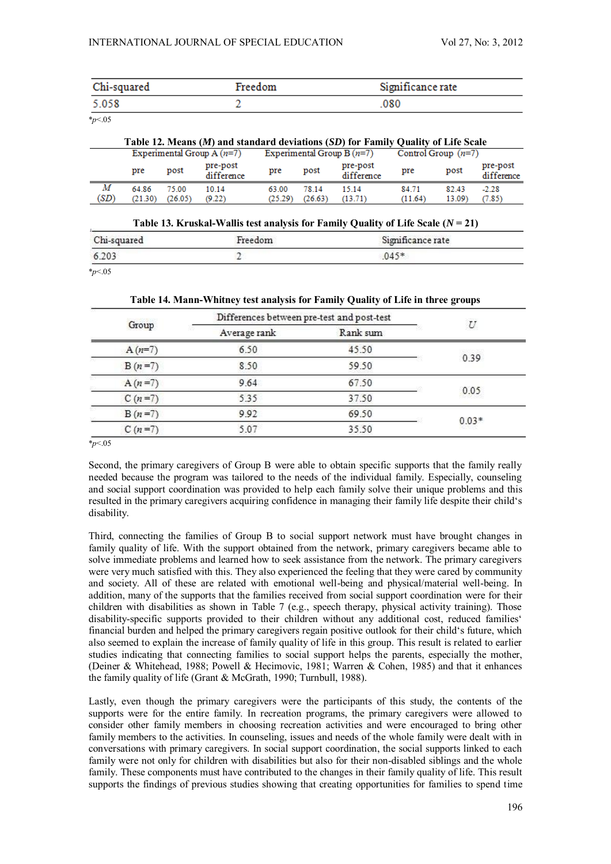| Chi-squared | Freedom | Significance rate |
|-------------|---------|-------------------|
| 5.058       |         | 080               |

|--|

| Table 12. Means (M) and standard deviations (SD) for Family Quality of Life Scale |                  |                  |                        |                              |                  |                        |                       |                 |                        |
|-----------------------------------------------------------------------------------|------------------|------------------|------------------------|------------------------------|------------------|------------------------|-----------------------|-----------------|------------------------|
| Experimental Group A $(n=7)$                                                      |                  |                  |                        | Experimental Group B $(n=7)$ |                  |                        | Control Group $(n=7)$ |                 |                        |
|                                                                                   | pre              | post             | pre-post<br>difference | pre                          | post             | pre-post<br>difference | pre                   | post            | pre-post<br>difference |
| М<br>(SD)                                                                         | 64.86<br>(21.30) | 75.00<br>(26.05) | 10.14<br>(9.22)        | 63.00<br>(25.29)             | 78.14<br>(26.63) | 15.14<br>(13.71)       | 84.71<br>(11.64)      | 82.43<br>13.09) | $-2.28$<br>(7.85)      |

| Table 13. Kruskal-Wallis test analysis for Family Quality of Life Scale $(N = 21)$ |  |  |  |  |
|------------------------------------------------------------------------------------|--|--|--|--|
| Significance rate                                                                  |  |  |  |  |
|                                                                                    |  |  |  |  |
|                                                                                    |  |  |  |  |

\**p*<.05

**Table 14. Mann-Whitney test analysis for Family Quality of Life in three groups** 

| Group    |              | Differences between pre-test and post-test |         |  |
|----------|--------------|--------------------------------------------|---------|--|
|          | Average rank | Rank sum                                   |         |  |
| $A(n=7)$ | 6.50         | 45.50                                      | 0.39    |  |
| $B(n=7)$ | 8.50         | 59.50                                      |         |  |
| $A(n=7)$ | 9.64         | 67.50                                      | 0.05    |  |
| $C(n=7)$ | 5.35         | 37.50                                      |         |  |
| $B(n=7)$ | 9.92         | 69.50                                      | $0.03*$ |  |
| $C(n=7)$ | 5.07         | 35.50                                      |         |  |

\**p*<.05

Second, the primary caregivers of Group B were able to obtain specific supports that the family really needed because the program was tailored to the needs of the individual family. Especially, counseling and social support coordination was provided to help each family solve their unique problems and this resulted in the primary caregivers acquiring confidence in managing their family life despite their child's disability.

Third, connecting the families of Group B to social support network must have brought changes in family quality of life. With the support obtained from the network, primary caregivers became able to solve immediate problems and learned how to seek assistance from the network. The primary caregivers were very much satisfied with this. They also experienced the feeling that they were cared by community and society. All of these are related with emotional well-being and physical/material well-being. In addition, many of the supports that the families received from social support coordination were for their children with disabilities as shown in Table 7 (e.g., speech therapy, physical activity training). Those disability-specific supports provided to their children without any additional cost, reduced families' financial burden and helped the primary caregivers regain positive outlook for their child's future, which also seemed to explain the increase of family quality of life in this group. This result is related to earlier studies indicating that connecting families to social support helps the parents, especially the mother, (Deiner & Whitehead, 1988; Powell & Hecimovic, 1981; Warren & Cohen, 1985) and that it enhances the family quality of life (Grant & McGrath, 1990; Turnbull, 1988).

Lastly, even though the primary caregivers were the participants of this study, the contents of the supports were for the entire family. In recreation programs, the primary caregivers were allowed to consider other family members in choosing recreation activities and were encouraged to bring other family members to the activities. In counseling, issues and needs of the whole family were dealt with in conversations with primary caregivers. In social support coordination, the social supports linked to each family were not only for children with disabilities but also for their non-disabled siblings and the whole family. These components must have contributed to the changes in their family quality of life. This result supports the findings of previous studies showing that creating opportunities for families to spend time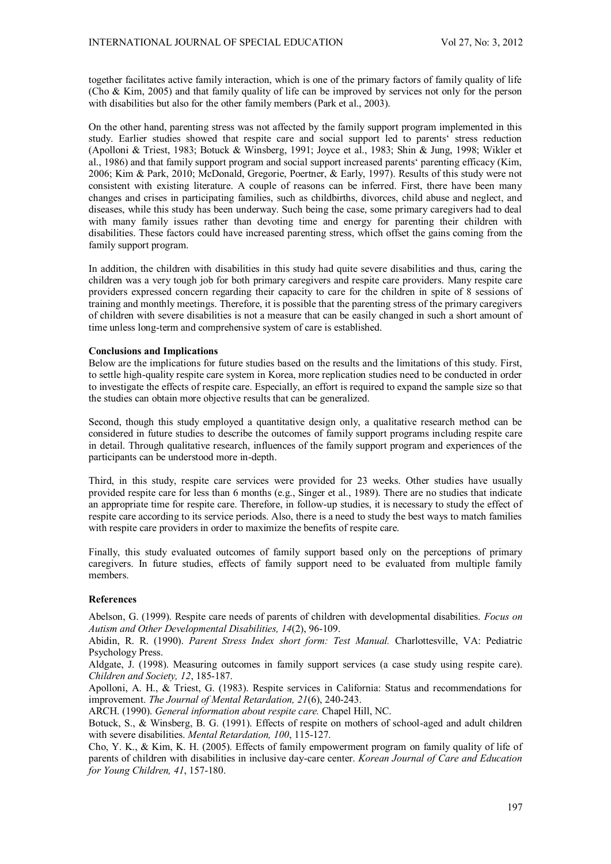together facilitates active family interaction, which is one of the primary factors of family quality of life (Cho & Kim, 2005) and that family quality of life can be improved by services not only for the person with disabilities but also for the other family members (Park et al., 2003).

On the other hand, parenting stress was not affected by the family support program implemented in this study. Earlier studies showed that respite care and social support led to parents' stress reduction (Apolloni & Triest, 1983; Botuck & Winsberg, 1991; Joyce et al., 1983; Shin & Jung, 1998; Wikler et al., 1986) and that family support program and social support increased parents' parenting efficacy (Kim, 2006; Kim & Park, 2010; McDonald, Gregorie, Poertner, & Early, 1997). Results of this study were not consistent with existing literature. A couple of reasons can be inferred. First, there have been many changes and crises in participating families, such as childbirths, divorces, child abuse and neglect, and diseases, while this study has been underway. Such being the case, some primary caregivers had to deal with many family issues rather than devoting time and energy for parenting their children with disabilities. These factors could have increased parenting stress, which offset the gains coming from the family support program.

In addition, the children with disabilities in this study had quite severe disabilities and thus, caring the children was a very tough job for both primary caregivers and respite care providers. Many respite care providers expressed concern regarding their capacity to care for the children in spite of 8 sessions of training and monthly meetings. Therefore, it is possible that the parenting stress of the primary caregivers of children with severe disabilities is not a measure that can be easily changed in such a short amount of time unless long-term and comprehensive system of care is established.

## **Conclusions and Implications**

Below are the implications for future studies based on the results and the limitations of this study. First, to settle high-quality respite care system in Korea, more replication studies need to be conducted in order to investigate the effects of respite care. Especially, an effort is required to expand the sample size so that the studies can obtain more objective results that can be generalized.

Second, though this study employed a quantitative design only, a qualitative research method can be considered in future studies to describe the outcomes of family support programs including respite care in detail. Through qualitative research, influences of the family support program and experiences of the participants can be understood more in-depth.

Third, in this study, respite care services were provided for 23 weeks. Other studies have usually provided respite care for less than 6 months (e.g., Singer et al., 1989). There are no studies that indicate an appropriate time for respite care. Therefore, in follow-up studies, it is necessary to study the effect of respite care according to its service periods. Also, there is a need to study the best ways to match families with respite care providers in order to maximize the benefits of respite care.

Finally, this study evaluated outcomes of family support based only on the perceptions of primary caregivers. In future studies, effects of family support need to be evaluated from multiple family members.

## **References**

Abelson, G. (1999). Respite care needs of parents of children with developmental disabilities. *Focus on Autism and Other Developmental Disabilities, 14*(2), 96-109.

Abidin, R. R. (1990). *Parent Stress Index short form: Test Manual.* Charlottesville, VA: Pediatric Psychology Press.

Aldgate, J. (1998). Measuring outcomes in family support services (a case study using respite care). *Children and Society, 12*, 185-187.

Apolloni, A. H., & Triest, G. (1983). Respite services in California: Status and recommendations for improvement. *The Journal of Mental Retardation, 21*(6), 240-243.

ARCH. (1990). *General information about respite care.* Chapel Hill, NC.

Botuck, S., & Winsberg, B. G. (1991). Effects of respite on mothers of school-aged and adult children with severe disabilities. *Mental Retardation, 100*, 115-127.

Cho, Y. K., & Kim, K. H. (2005). Effects of family empowerment program on family quality of life of parents of children with disabilities in inclusive day-care center. *Korean Journal of Care and Education for Young Children, 41*, 157-180.